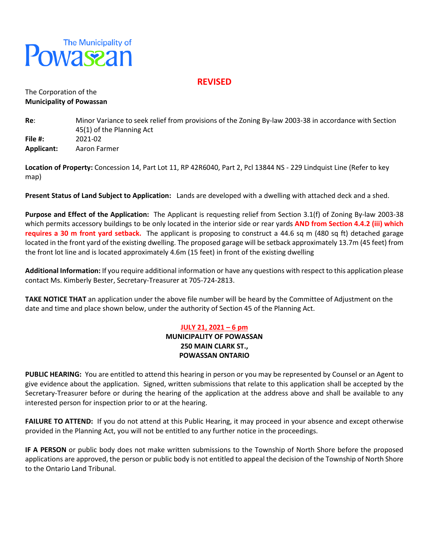

## **REVISED**

## The Corporation of the **Municipality of Powassan**

| Re:               | Minor Variance to seek relief from provisions of the Zoning By-law 2003-38 in accordance with Section |
|-------------------|-------------------------------------------------------------------------------------------------------|
|                   | 45(1) of the Planning Act                                                                             |
| File #:           | 2021-02                                                                                               |
| <b>Applicant:</b> | Aaron Farmer                                                                                          |

**Location of Property:** Concession 14, Part Lot 11, RP 42R6040, Part 2, Pcl 13844 NS - 229 Lindquist Line (Refer to key map)

**Present Status of Land Subject to Application:** Lands are developed with a dwelling with attached deck and a shed.

**Purpose and Effect of the Application:** The Applicant is requesting relief from Section 3.1(f) of Zoning By-law 2003-38 which permits accessory buildings to be only located in the interior side or rear yards **AND from Section 4.4.2 (iii) which requires a 30 m front yard setback.** The applicant is proposing to construct a 44.6 sq m (480 sq ft) detached garage located in the front yard of the existing dwelling. The proposed garage will be setback approximately 13.7m (45 feet) from the front lot line and is located approximately 4.6m (15 feet) in front of the existing dwelling

**Additional Information:** If you require additional information or have any questions with respect to this application please contact Ms. Kimberly Bester, Secretary-Treasurer at 705-724-2813.

**TAKE NOTICE THAT** an application under the above file number will be heard by the Committee of Adjustment on the date and time and place shown below, under the authority of Section 45 of the Planning Act.

## **JULY 21, 2021 – 6 pm MUNICIPALITY OF POWASSAN 250 MAIN CLARK ST., POWASSAN ONTARIO**

**PUBLIC HEARING:** You are entitled to attend this hearing in person or you may be represented by Counsel or an Agent to give evidence about the application. Signed, written submissions that relate to this application shall be accepted by the Secretary-Treasurer before or during the hearing of the application at the address above and shall be available to any interested person for inspection prior to or at the hearing.

**FAILURE TO ATTEND:** If you do not attend at this Public Hearing, it may proceed in your absence and except otherwise provided in the Planning Act, you will not be entitled to any further notice in the proceedings.

**IF A PERSON** or public body does not make written submissions to the Township of North Shore before the proposed applications are approved, the person or public body is not entitled to appeal the decision of the Township of North Shore to the Ontario Land Tribunal.